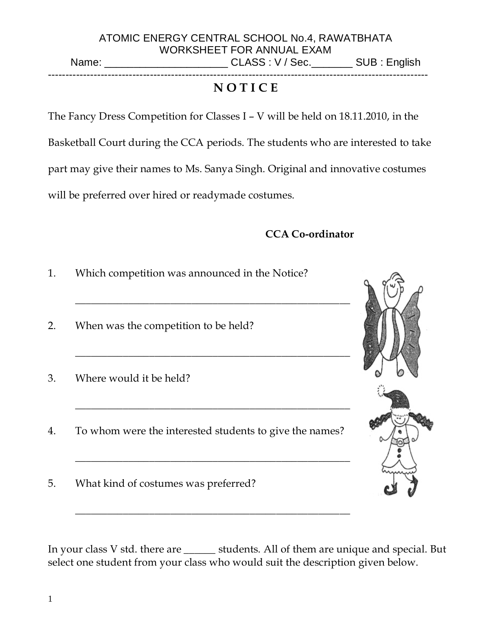**NOTICE** 

The Fancy Dress Competition for Classes I – V will be held on 18.11.2010, in the Basketball Court during the CCA periods. The students who are interested to take part may give their names to Ms. Sanya Singh. Original and innovative costumes will be preferred over hired or readymade costumes.

------------------------------------------------------------------------------------------------------------

#### CCA Co-ordinator

1. Which competition was announced in the Notice?

\_\_\_\_\_\_\_\_\_\_\_\_\_\_\_\_\_\_\_\_\_\_\_\_\_\_\_\_\_\_\_\_\_\_\_\_\_\_\_\_\_\_\_\_\_\_\_\_\_\_\_\_

\_\_\_\_\_\_\_\_\_\_\_\_\_\_\_\_\_\_\_\_\_\_\_\_\_\_\_\_\_\_\_\_\_\_\_\_\_\_\_\_\_\_\_\_\_\_\_\_\_\_\_\_

\_\_\_\_\_\_\_\_\_\_\_\_\_\_\_\_\_\_\_\_\_\_\_\_\_\_\_\_\_\_\_\_\_\_\_\_\_\_\_\_\_\_\_\_\_\_\_\_\_\_\_\_

\_\_\_\_\_\_\_\_\_\_\_\_\_\_\_\_\_\_\_\_\_\_\_\_\_\_\_\_\_\_\_\_\_\_\_\_\_\_\_\_\_\_\_\_\_\_\_\_\_\_\_\_

\_\_\_\_\_\_\_\_\_\_\_\_\_\_\_\_\_\_\_\_\_\_\_\_\_\_\_\_\_\_\_\_\_\_\_\_\_\_\_\_\_\_\_\_\_\_\_\_\_\_\_\_

- 2. When was the competition to be held?
- 3. Where would it be held?
- 4. To whom were the interested students to give the names?
- 5. What kind of costumes was preferred?

In your class V std. there are \_\_\_\_\_\_ students. All of them are unique and special. But select one student from your class who would suit the description given below.





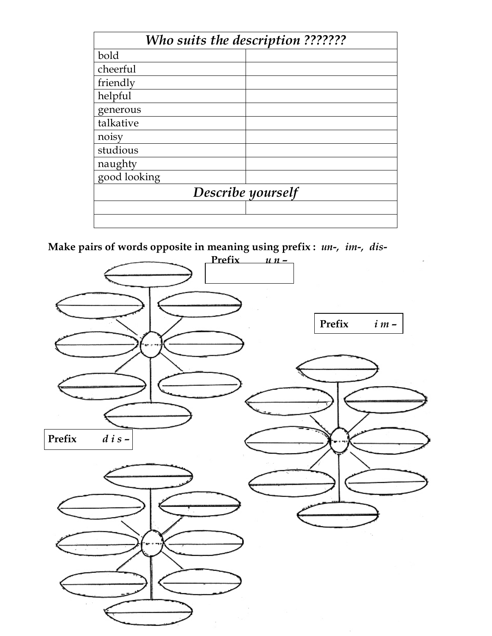| Who suits the description ??????? |  |  |  |
|-----------------------------------|--|--|--|
| bold                              |  |  |  |
| cheerful                          |  |  |  |
| friendly                          |  |  |  |
| helpful                           |  |  |  |
| generous                          |  |  |  |
| talkative                         |  |  |  |
| noisy                             |  |  |  |
| studious                          |  |  |  |
| naughty                           |  |  |  |
| good looking                      |  |  |  |
| Describe yourself                 |  |  |  |
|                                   |  |  |  |
|                                   |  |  |  |

Make pairs of words opposite in meaning using prefix : un-, im-, dis-

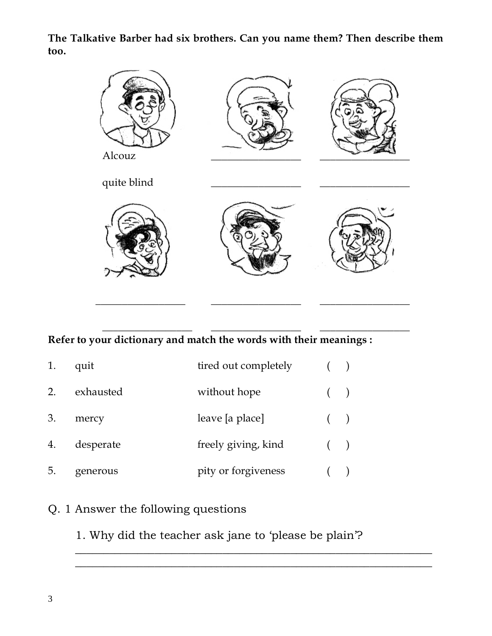The Talkative Barber had six brothers. Can you name them? Then describe them too.



#### Refer to your dictionary and match the words with their meanings :

 $\frac{1}{2}$  ,  $\frac{1}{2}$  ,  $\frac{1}{2}$  ,  $\frac{1}{2}$  ,  $\frac{1}{2}$  ,  $\frac{1}{2}$  ,  $\frac{1}{2}$  ,  $\frac{1}{2}$  ,  $\frac{1}{2}$  ,  $\frac{1}{2}$  ,  $\frac{1}{2}$  ,  $\frac{1}{2}$  ,  $\frac{1}{2}$  ,  $\frac{1}{2}$  ,  $\frac{1}{2}$  ,  $\frac{1}{2}$  ,  $\frac{1}{2}$  ,  $\frac{1}{2}$  ,  $\frac{1$ 

| 1. | quit      | tired out completely |   |  |
|----|-----------|----------------------|---|--|
| 2. | exhausted | without hope         |   |  |
| 3. | mercy     | leave [a place]      | ( |  |
| 4. | desperate | freely giving, kind  |   |  |
| 5. | generous  | pity or forgiveness  |   |  |

# Q. 1 Answer the following questions

1. Why did the teacher ask jane to 'please be plain'?

 $\frac{1}{2}$  ,  $\frac{1}{2}$  ,  $\frac{1}{2}$  ,  $\frac{1}{2}$  ,  $\frac{1}{2}$  ,  $\frac{1}{2}$  ,  $\frac{1}{2}$  ,  $\frac{1}{2}$  ,  $\frac{1}{2}$  ,  $\frac{1}{2}$  ,  $\frac{1}{2}$  ,  $\frac{1}{2}$  ,  $\frac{1}{2}$  ,  $\frac{1}{2}$  ,  $\frac{1}{2}$  ,  $\frac{1}{2}$  ,  $\frac{1}{2}$  ,  $\frac{1}{2}$  ,  $\frac{1$  $\overline{\phantom{a}}$  ,  $\overline{\phantom{a}}$  ,  $\overline{\phantom{a}}$  ,  $\overline{\phantom{a}}$  ,  $\overline{\phantom{a}}$  ,  $\overline{\phantom{a}}$  ,  $\overline{\phantom{a}}$  ,  $\overline{\phantom{a}}$  ,  $\overline{\phantom{a}}$  ,  $\overline{\phantom{a}}$  ,  $\overline{\phantom{a}}$  ,  $\overline{\phantom{a}}$  ,  $\overline{\phantom{a}}$  ,  $\overline{\phantom{a}}$  ,  $\overline{\phantom{a}}$  ,  $\overline{\phantom{a}}$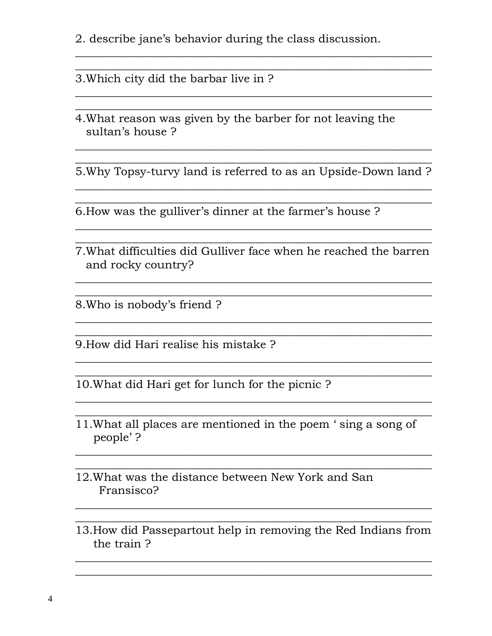2. describe jane's behavior during the class discussion.

3. Which city did the barbar live in ?

4. What reason was given by the barber for not leaving the sultan's house?

5. Why Topsy-turvy land is referred to as an Upside-Down land ?

6. How was the gulliver's dinner at the farmer's house?

7. What difficulties did Gulliver face when he reached the barren and rocky country?

8. Who is nobody's friend?

9. How did Hari realise his mistake?

10. What did Hari get for lunch for the picnic?

- 11. What all places are mentioned in the poem 'sing a song of people'?
- 12. What was the distance between New York and San Fransisco?
- 13. How did Passepartout help in removing the Red Indians from the train?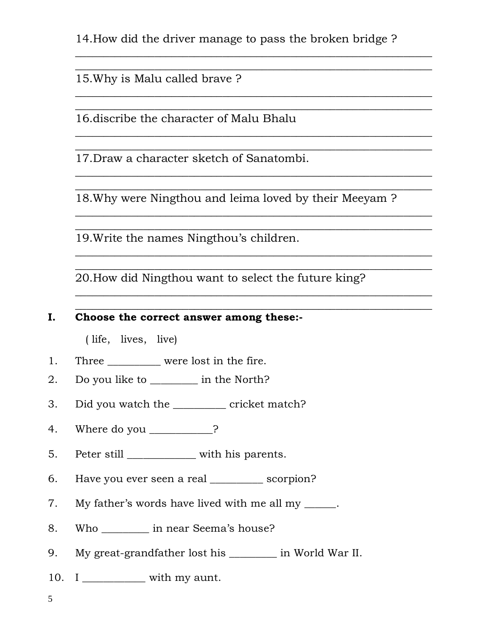14.How did the driver manage to pass the broken bridge ?

 $\overline{\phantom{a}}$  , and the contract of the contract of the contract of the contract of the contract of the contract of the contract of the contract of the contract of the contract of the contract of the contract of the contrac  $\overline{\phantom{a}}$  ,  $\overline{\phantom{a}}$  ,  $\overline{\phantom{a}}$  ,  $\overline{\phantom{a}}$  ,  $\overline{\phantom{a}}$  ,  $\overline{\phantom{a}}$  ,  $\overline{\phantom{a}}$  ,  $\overline{\phantom{a}}$  ,  $\overline{\phantom{a}}$  ,  $\overline{\phantom{a}}$  ,  $\overline{\phantom{a}}$  ,  $\overline{\phantom{a}}$  ,  $\overline{\phantom{a}}$  ,  $\overline{\phantom{a}}$  ,  $\overline{\phantom{a}}$  ,  $\overline{\phantom{a}}$ 

 $\frac{1}{2}$  ,  $\frac{1}{2}$  ,  $\frac{1}{2}$  ,  $\frac{1}{2}$  ,  $\frac{1}{2}$  ,  $\frac{1}{2}$  ,  $\frac{1}{2}$  ,  $\frac{1}{2}$  ,  $\frac{1}{2}$  ,  $\frac{1}{2}$  ,  $\frac{1}{2}$  ,  $\frac{1}{2}$  ,  $\frac{1}{2}$  ,  $\frac{1}{2}$  ,  $\frac{1}{2}$  ,  $\frac{1}{2}$  ,  $\frac{1}{2}$  ,  $\frac{1}{2}$  ,  $\frac{1$  $\overline{\phantom{a}}$  ,  $\overline{\phantom{a}}$  ,  $\overline{\phantom{a}}$  ,  $\overline{\phantom{a}}$  ,  $\overline{\phantom{a}}$  ,  $\overline{\phantom{a}}$  ,  $\overline{\phantom{a}}$  ,  $\overline{\phantom{a}}$  ,  $\overline{\phantom{a}}$  ,  $\overline{\phantom{a}}$  ,  $\overline{\phantom{a}}$  ,  $\overline{\phantom{a}}$  ,  $\overline{\phantom{a}}$  ,  $\overline{\phantom{a}}$  ,  $\overline{\phantom{a}}$  ,  $\overline{\phantom{a}}$ 

 $\frac{1}{2}$  ,  $\frac{1}{2}$  ,  $\frac{1}{2}$  ,  $\frac{1}{2}$  ,  $\frac{1}{2}$  ,  $\frac{1}{2}$  ,  $\frac{1}{2}$  ,  $\frac{1}{2}$  ,  $\frac{1}{2}$  ,  $\frac{1}{2}$  ,  $\frac{1}{2}$  ,  $\frac{1}{2}$  ,  $\frac{1}{2}$  ,  $\frac{1}{2}$  ,  $\frac{1}{2}$  ,  $\frac{1}{2}$  ,  $\frac{1}{2}$  ,  $\frac{1}{2}$  ,  $\frac{1$  $\overline{\phantom{a}}$  ,  $\overline{\phantom{a}}$  ,  $\overline{\phantom{a}}$  ,  $\overline{\phantom{a}}$  ,  $\overline{\phantom{a}}$  ,  $\overline{\phantom{a}}$  ,  $\overline{\phantom{a}}$  ,  $\overline{\phantom{a}}$  ,  $\overline{\phantom{a}}$  ,  $\overline{\phantom{a}}$  ,  $\overline{\phantom{a}}$  ,  $\overline{\phantom{a}}$  ,  $\overline{\phantom{a}}$  ,  $\overline{\phantom{a}}$  ,  $\overline{\phantom{a}}$  ,  $\overline{\phantom{a}}$ 

 $\frac{1}{2}$  ,  $\frac{1}{2}$  ,  $\frac{1}{2}$  ,  $\frac{1}{2}$  ,  $\frac{1}{2}$  ,  $\frac{1}{2}$  ,  $\frac{1}{2}$  ,  $\frac{1}{2}$  ,  $\frac{1}{2}$  ,  $\frac{1}{2}$  ,  $\frac{1}{2}$  ,  $\frac{1}{2}$  ,  $\frac{1}{2}$  ,  $\frac{1}{2}$  ,  $\frac{1}{2}$  ,  $\frac{1}{2}$  ,  $\frac{1}{2}$  ,  $\frac{1}{2}$  ,  $\frac{1$  $\overline{\phantom{a}}$  ,  $\overline{\phantom{a}}$  ,  $\overline{\phantom{a}}$  ,  $\overline{\phantom{a}}$  ,  $\overline{\phantom{a}}$  ,  $\overline{\phantom{a}}$  ,  $\overline{\phantom{a}}$  ,  $\overline{\phantom{a}}$  ,  $\overline{\phantom{a}}$  ,  $\overline{\phantom{a}}$  ,  $\overline{\phantom{a}}$  ,  $\overline{\phantom{a}}$  ,  $\overline{\phantom{a}}$  ,  $\overline{\phantom{a}}$  ,  $\overline{\phantom{a}}$  ,  $\overline{\phantom{a}}$ 

15.Why is Malu called brave ?

16.discribe the character of Malu Bhalu

17.Draw a character sketch of Sanatombi.

18.Why were Ningthou and leima loved by their Meeyam ?

 $\frac{1}{2}$  ,  $\frac{1}{2}$  ,  $\frac{1}{2}$  ,  $\frac{1}{2}$  ,  $\frac{1}{2}$  ,  $\frac{1}{2}$  ,  $\frac{1}{2}$  ,  $\frac{1}{2}$  ,  $\frac{1}{2}$  ,  $\frac{1}{2}$  ,  $\frac{1}{2}$  ,  $\frac{1}{2}$  ,  $\frac{1}{2}$  ,  $\frac{1}{2}$  ,  $\frac{1}{2}$  ,  $\frac{1}{2}$  ,  $\frac{1}{2}$  ,  $\frac{1}{2}$  ,  $\frac{1$  $\overline{\phantom{a}}$  ,  $\overline{\phantom{a}}$  ,  $\overline{\phantom{a}}$  ,  $\overline{\phantom{a}}$  ,  $\overline{\phantom{a}}$  ,  $\overline{\phantom{a}}$  ,  $\overline{\phantom{a}}$  ,  $\overline{\phantom{a}}$  ,  $\overline{\phantom{a}}$  ,  $\overline{\phantom{a}}$  ,  $\overline{\phantom{a}}$  ,  $\overline{\phantom{a}}$  ,  $\overline{\phantom{a}}$  ,  $\overline{\phantom{a}}$  ,  $\overline{\phantom{a}}$  ,  $\overline{\phantom{a}}$ 

 $\frac{1}{2}$  ,  $\frac{1}{2}$  ,  $\frac{1}{2}$  ,  $\frac{1}{2}$  ,  $\frac{1}{2}$  ,  $\frac{1}{2}$  ,  $\frac{1}{2}$  ,  $\frac{1}{2}$  ,  $\frac{1}{2}$  ,  $\frac{1}{2}$  ,  $\frac{1}{2}$  ,  $\frac{1}{2}$  ,  $\frac{1}{2}$  ,  $\frac{1}{2}$  ,  $\frac{1}{2}$  ,  $\frac{1}{2}$  ,  $\frac{1}{2}$  ,  $\frac{1}{2}$  ,  $\frac{1$  $\overline{\phantom{a}}$  ,  $\overline{\phantom{a}}$  ,  $\overline{\phantom{a}}$  ,  $\overline{\phantom{a}}$  ,  $\overline{\phantom{a}}$  ,  $\overline{\phantom{a}}$  ,  $\overline{\phantom{a}}$  ,  $\overline{\phantom{a}}$  ,  $\overline{\phantom{a}}$  ,  $\overline{\phantom{a}}$  ,  $\overline{\phantom{a}}$  ,  $\overline{\phantom{a}}$  ,  $\overline{\phantom{a}}$  ,  $\overline{\phantom{a}}$  ,  $\overline{\phantom{a}}$  ,  $\overline{\phantom{a}}$ 

 $\frac{1}{2}$  ,  $\frac{1}{2}$  ,  $\frac{1}{2}$  ,  $\frac{1}{2}$  ,  $\frac{1}{2}$  ,  $\frac{1}{2}$  ,  $\frac{1}{2}$  ,  $\frac{1}{2}$  ,  $\frac{1}{2}$  ,  $\frac{1}{2}$  ,  $\frac{1}{2}$  ,  $\frac{1}{2}$  ,  $\frac{1}{2}$  ,  $\frac{1}{2}$  ,  $\frac{1}{2}$  ,  $\frac{1}{2}$  ,  $\frac{1}{2}$  ,  $\frac{1}{2}$  ,  $\frac{1$  $\overline{\phantom{a}}$  ,  $\overline{\phantom{a}}$  ,  $\overline{\phantom{a}}$  ,  $\overline{\phantom{a}}$  ,  $\overline{\phantom{a}}$  ,  $\overline{\phantom{a}}$  ,  $\overline{\phantom{a}}$  ,  $\overline{\phantom{a}}$  ,  $\overline{\phantom{a}}$  ,  $\overline{\phantom{a}}$  ,  $\overline{\phantom{a}}$  ,  $\overline{\phantom{a}}$  ,  $\overline{\phantom{a}}$  ,  $\overline{\phantom{a}}$  ,  $\overline{\phantom{a}}$  ,  $\overline{\phantom{a}}$ 

19.Write the names Ningthou's children.

20.How did Ningthou want to select the future king?

#### I. Choose the correct answer among these:-

( life, lives, live)

- 1. Three \_\_\_\_\_\_\_\_\_ were lost in the fire.
- 2. Do you like to \_\_\_\_\_\_\_\_\_ in the North?
- 3. Did you watch the \_\_\_\_\_\_\_\_\_\_ cricket match?
- 4. Where do you \_\_\_\_\_\_\_\_\_\_?
- 5. Peter still \_\_\_\_\_\_\_\_\_\_\_\_\_\_ with his parents.
- 6. Have you ever seen a real \_\_\_\_\_\_\_\_\_\_ scorpion?
- 7. My father's words have lived with me all my \_\_\_\_\_.
- 8. Who \_\_\_\_\_\_\_\_\_ in near Seema's house?
- 9. My great-grandfather lost his \_\_\_\_\_\_\_\_\_ in World War II.
- 10. I \_\_\_\_\_\_\_\_\_\_\_\_\_ with my aunt.

5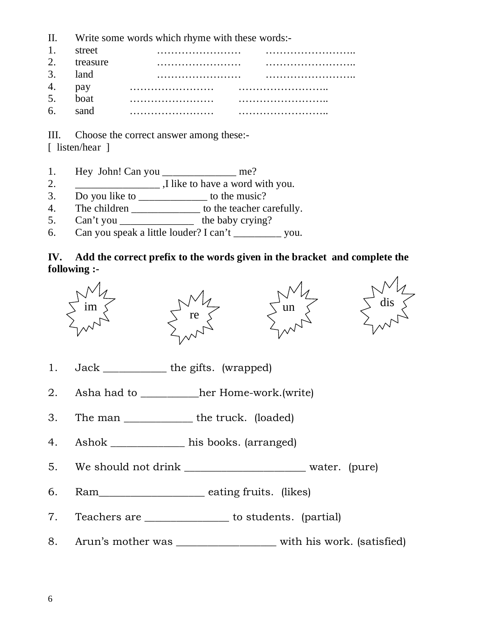- II. Write some words which rhyme with these words:-
- 1. street …………………… …………………….. 2. treasure …………………… …………………….. 3. land …………………… …………………….. 4. pay …………………… …………………….. 5. boat …………………… …………………….. 6. sand …………………… ……………………..

III. Choose the correct answer among these:-

[ listen/hear ]

- 1. Hey John! Can you \_\_\_\_\_\_\_\_\_\_\_\_\_\_\_\_ me?
- 2.  $\frac{1}{\sqrt{2}}$  ,I like to have a word with you.
- 3. Do you like to \_\_\_\_\_\_\_\_\_\_\_\_\_\_ to the music?
- 4. The children to the teacher carefully.
- 5. Can't you \_\_\_\_\_\_\_\_\_\_\_\_\_\_\_\_ the baby crying?
- 6. Can you speak a little louder? I can't \_\_\_\_\_\_\_\_\_ you.

#### **IV. Add the correct prefix to the words given in the bracket and complete the following :-**









- 1. Jack \_\_\_\_\_\_\_\_\_\_\_\_ the gifts. (wrapped)
- 2. Asha had to \_\_\_\_\_\_\_\_\_\_\_her Home-work.(write)
- 3. The man \_\_\_\_\_\_\_\_\_\_\_\_\_\_\_ the truck. (loaded)
- 4. Ashok \_\_\_\_\_\_\_\_\_\_\_\_\_\_ his books. (arranged)
- 5. We should not drink \_\_\_\_\_\_\_\_\_\_\_\_\_\_\_\_\_\_\_\_\_\_\_ water. (pure)
- 6. Ram\_\_\_\_\_\_\_\_\_\_\_\_\_\_\_\_\_\_\_\_ eating fruits. (likes)
- 7. Teachers are \_\_\_\_\_\_\_\_\_\_\_\_\_\_\_\_ to students. (partial)
- 8. Arun's mother was \_\_\_\_\_\_\_\_\_\_\_\_\_\_\_\_\_\_\_\_\_ with his work. (satisfied)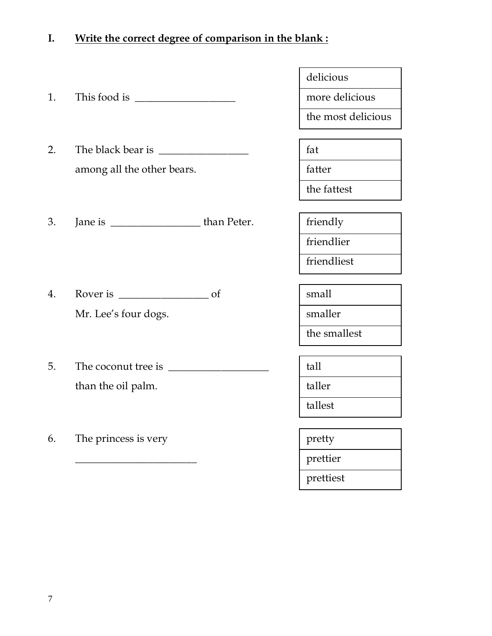### I. Write the correct degree of comparison in the blank :

- 1. This food is \_\_\_\_\_\_\_\_\_\_\_\_\_\_\_\_\_\_\_ more delicious
- 2. The black bear is  $\frac{1}{2}$  fat among all the other bears.  $\left| \right|$  fatter
- 3. Jane is  $\frac{1}{\sqrt{1-\frac{1}{\sqrt{1-\frac{1}{\sqrt{1-\frac{1}{\sqrt{1-\frac{1}{\sqrt{1-\frac{1}{\sqrt{1-\frac{1}{\sqrt{1-\frac{1}{\sqrt{1-\frac{1}{\sqrt{1-\frac{1}{\sqrt{1-\frac{1}{\sqrt{1-\frac{1}{\sqrt{1-\frac{1}{\sqrt{1-\frac{1}{\sqrt{1-\frac{1}{\sqrt{1-\frac{1}{\sqrt{1-\frac{1}{\sqrt{1-\frac{1}{\sqrt{1-\frac{1}{\sqrt{1-\frac{1}{\sqrt{1-\frac{1}{\sqrt{1-\frac{1}{\sqrt{1-\frac{1}{\sqrt{1-\frac$
- 4. Rover is \_\_\_\_\_\_\_\_\_\_\_\_\_\_\_\_\_ of small Mr. Lee's four dogs. smaller
- 5. The coconut tree is \_\_\_\_\_\_\_\_\_\_\_\_\_\_\_\_\_\_\_ tall than the oil palm.
- 6. The princess is very pretty

delicious

the most delicious

the fattest

friendlier

friendliest

the smallest

tallest

\_\_\_\_\_\_\_\_\_\_\_\_\_\_\_\_\_\_\_\_\_\_\_ prettier

prettiest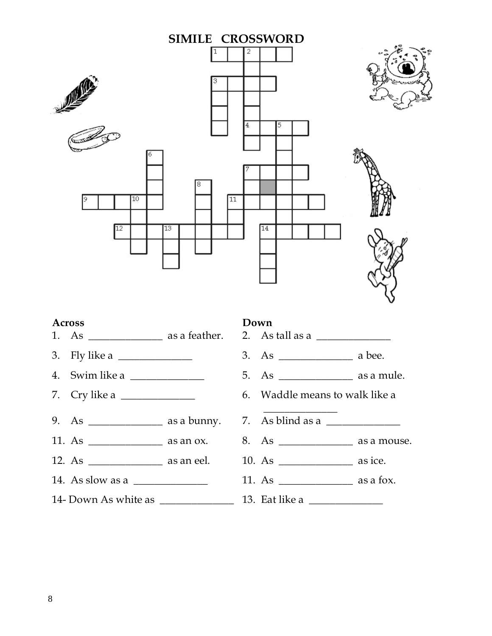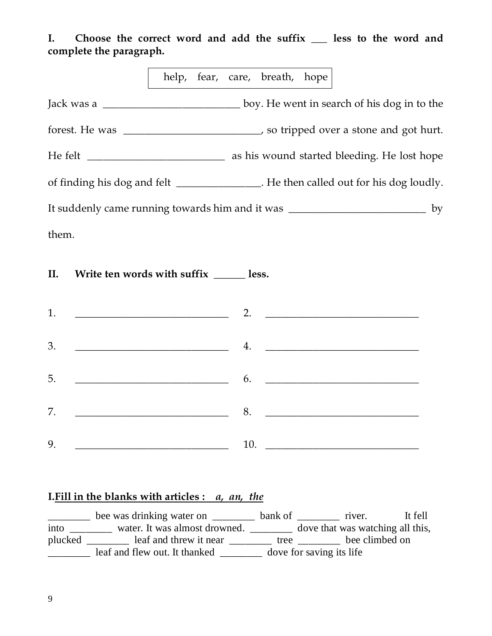I. Choose the correct word and add the suffix eless to the word and complete the paragraph.

help, fear, care, breath, hope

Jack was a \_\_\_\_\_\_\_\_\_\_\_\_\_\_\_\_\_\_\_\_\_\_\_\_\_\_ boy. He went in search of his dog in to the forest. He was \_\_\_\_\_\_\_\_\_\_\_\_\_\_\_\_\_\_\_\_\_\_\_\_\_\_, so tripped over a stone and got hurt. He felt \_\_\_\_\_\_\_\_\_\_\_\_\_\_\_\_\_\_\_\_\_\_\_\_\_\_ as his wound started bleeding. He lost hope of finding his dog and felt \_\_\_\_\_\_\_\_\_\_\_\_\_. He then called out for his dog loudly. It suddenly came running towards him and it was \_\_\_\_\_\_\_\_\_\_\_\_\_\_\_\_\_\_\_\_\_\_\_\_\_\_\_\_\_\_ by them.

II. Write ten words with suffix \_\_\_\_\_\_\_ less.

| 1.                                                    | 2. $\qquad \qquad$                                                                                                                                                            |
|-------------------------------------------------------|-------------------------------------------------------------------------------------------------------------------------------------------------------------------------------|
| 3.                                                    |                                                                                                                                                                               |
| 5.                                                    | $\overbrace{\hspace{2.5cm}}$ 6. $\overbrace{\hspace{2.5cm}}$ 6. $\overbrace{\hspace{2.5cm}}$                                                                                  |
| 7.                                                    | $\overbrace{\hspace{2.5cm}}^{\text{2}}$ and $\overbrace{\hspace{2.5cm}}^{\text{2}}$ and $\overbrace{\hspace{2.5cm}}^{\text{2}}$ and $\overbrace{\hspace{2.5cm}}^{\text{2}}$ . |
| <u> 1989 - Johann John Stone, mars et al. (</u><br>9. | $10.$ $\qquad \qquad$                                                                                                                                                         |

#### I. Fill in the blanks with articles :  $a$ ,  $an$ , the

bee was drinking water on \_\_\_\_\_\_\_\_\_ bank of \_\_\_\_\_\_\_\_ river. It fell into \_\_\_\_\_\_\_\_ water. It was almost drowned. \_\_\_\_\_\_\_\_ dove that was watching all this, plucked \_\_\_\_\_\_\_\_ leaf and threw it near \_\_\_\_\_\_\_\_ tree \_\_\_\_\_\_\_ bee climbed on **Example 2** leaf and flew out. It thanked \_\_\_\_\_\_\_\_ dove for saving its life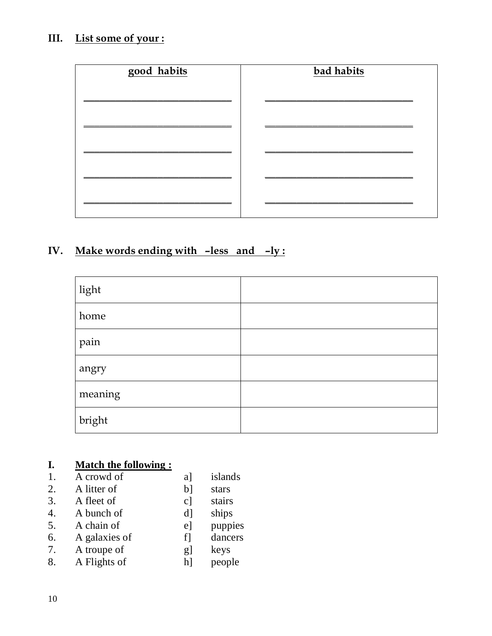# III. List some of your:

| good habits | bad habits |
|-------------|------------|
|             |            |
|             |            |
|             |            |
|             |            |
|             |            |
|             |            |
|             |            |
|             |            |

# IV. Make words ending with –less and –ly :

| light          |  |
|----------------|--|
| home           |  |
| pain           |  |
| angry          |  |
| meaning        |  |
| ${\rm bright}$ |  |

## **I. Match the following :**

| 1.               | A crowd of    | a]             | islands |
|------------------|---------------|----------------|---------|
| 2.               | A litter of   | $b$ ]          | stars   |
| 3.               | A fleet of    | $c$ ]          | stairs  |
| $\overline{4}$ . | A bunch of    | d <sub>1</sub> | ships   |
| 5.               | A chain of    | $e$ ]          | puppies |
| 6.               | A galaxies of | f1             | dancers |
| 7.               | A troupe of   | g]             | keys    |
| 8.               | A Flights of  | hl             | people  |